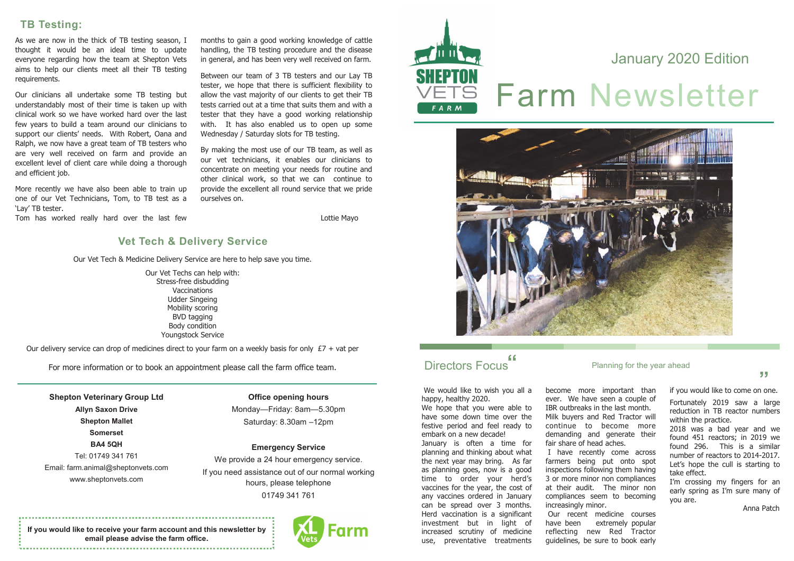# Farm Newsletter January 2020 Edition

#### **Planning for the year ahead**

**"**

#### **TB Testing:**

As we are now in the thick of TB testing season, I thought it would be an ideal time to update everyone regarding how the team at Shepton Vets aims to help our clients meet all their TB testing requirements.

Our clinicians all undertake some TB testing but understandably most of their time is taken up with clinical work so we have worked hard over the last few years to build a team around our clinicians to support our clients' needs. With Robert, Oana and Ralph, we now have a great team of TB testers who are very well received on farm and provide an excellent level of client care while doing a thorough and efficient job.

More recently we have also been able to train up one of our Vet Technicians, Tom, to TB test as a 'Lay' TB tester.

Tom has worked really hard over the last few

We would like to wish you all a happy, healthy 2020.

months to gain a good working knowledge of cattle handling, the TB testing procedure and the disease in general, and has been very well received on farm.

Between our team of 3 TB testers and our Lay TB tester, we hope that there is sufficient flexibility to allow the vast majority of our clients to get their TB tests carried out at a time that suits them and with a tester that they have a good working relationship with. It has also enabled us to open up some Wednesday / Saturday slots for TB testing.

By making the most use of our TB team, as well as our vet technicians, it enables our clinicians to concentrate on meeting your needs for routine and other clinical work, so that we can continue to provide the excellent all round service that we pride ourselves on.

Lottie Mayo

We hope that you were able to have some down time over the festive period and feel ready to embark on a new decade!

January is often a time for planning and thinking about what the next year may bring. As far as planning goes, now is a good time to order your herd's vaccines for the year, the cost of any vaccines ordered in January can be spread over 3 months. Herd vaccination is a significant investment but in light of increased scrutiny of medicine use, preventative treatments

become more important than ever. We have seen a couple of IBR outbreaks in the last month. Milk buyers and Red Tractor will continue to become more demanding and generate their fair share of head aches. I have recently come across farmers being put onto spot inspections following them having 3 or more minor non compliances at their audit. The minor non compliances seem to becoming increasingly minor. Our recent medicine courses have been extremely popular reflecting new Red Tractor guidelines, be sure to book early

if you would like to come on one.

Fortunately 2019 saw a large reduction in TB reactor numbers within the practice.

2018 was a bad year and we found 451 reactors; in 2019 we found 296. This is a similar number of reactors to 2014-2017. Let's hope the cull is starting to take effect.

I'm crossing my fingers for an early spring as I'm sure many of you are.

Anna Patch

**Shepton Veterinary Group Ltd Allyn Saxon Drive Shepton Mallet Somerset BA4 5QH** Tel: 01749 341 761 Email: farm.animal@sheptonvets.com www.sheptonvets.com

**Office opening hours** Monday—Friday: 8am—5.30pm Saturday: 8.30am –12pm

**Emergency Service** We provide a 24 hour emergency service. If you need assistance out of our normal working hours, please telephone 01749 341 761

## Directors Focus

**If you would like to receive your farm account and this newsletter by email please advise the farm office.** 







Our Vet Tech & Medicine Delivery Service are here to help save you time.

Our Vet Techs can help with: Stress-free disbudding Vaccinations Udder Singeing Mobility scoring BVD tagging Body condition Youngstock Service

Our delivery service can drop of medicines direct to your farm on a weekly basis for only  $E7 + \text{vat per}$ 

For more information or to book an appointment please call the farm office team.

#### **Vet Tech & Delivery Service**